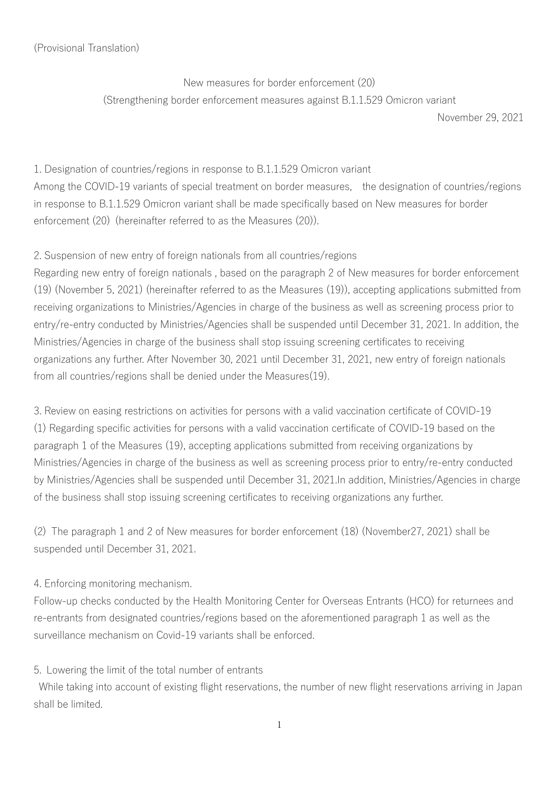## (Provisional Translation)

New measures for border enforcement (20) (Strengthening border enforcement measures against B.1.1.529 Omicron variant

November 29, 2021

1. Designation of countries/regions in response to B.1.1.529 Omicron variant Among the COVID-19 variants of special treatment on border measures, the designation of countries/regions in response to B.1.1.529 Omicron variant shall be made specifically based on New measures for border enforcement (20) (hereinafter referred to as the Measures (20)).

## 2. Suspension of new entry of foreign nationals from all countries/regions

Regarding new entry of foreign nationals , based on the paragraph 2 of New measures for border enforcement (19) (November 5, 2021) (hereinafter referred to as the Measures (19)), accepting applications submitted from receiving organizations to Ministries/Agencies in charge of the business as well as screening process prior to entry/re-entry conducted by Ministries/Agencies shall be suspended until December 31, 2021. In addition, the Ministries/Agencies in charge of the business shall stop issuing screening certificates to receiving organizations any further. After November 30, 2021 until December 31, 2021, new entry of foreign nationals from all countries/regions shall be denied under the Measures(19).

3. Review on easing restrictions on activities for persons with a valid vaccination certificate of COVID-19 (1) Regarding specific activities for persons with a valid vaccination certificate of COVID-19 based on the paragraph 1 of the Measures (19), accepting applications submitted from receiving organizations by Ministries/Agencies in charge of the business as well as screening process prior to entry/re-entry conducted by Ministries/Agencies shall be suspended until December 31, 2021.In addition, Ministries/Agencies in charge of the business shall stop issuing screening certificates to receiving organizations any further.

(2) The paragraph 1 and 2 of New measures for border enforcement (18) (November27, 2021) shall be suspended until December 31, 2021.

## 4. Enforcing monitoring mechanism.

Follow-up checks conducted by the Health Monitoring Center for Overseas Entrants (HCO) for returnees and re-entrants from designated countries/regions based on the aforementioned paragraph 1 as well as the surveillance mechanism on Covid-19 variants shall be enforced.

## 5. Lowering the limit of the total number of entrants

While taking into account of existing flight reservations, the number of new flight reservations arriving in Japan shall be limited.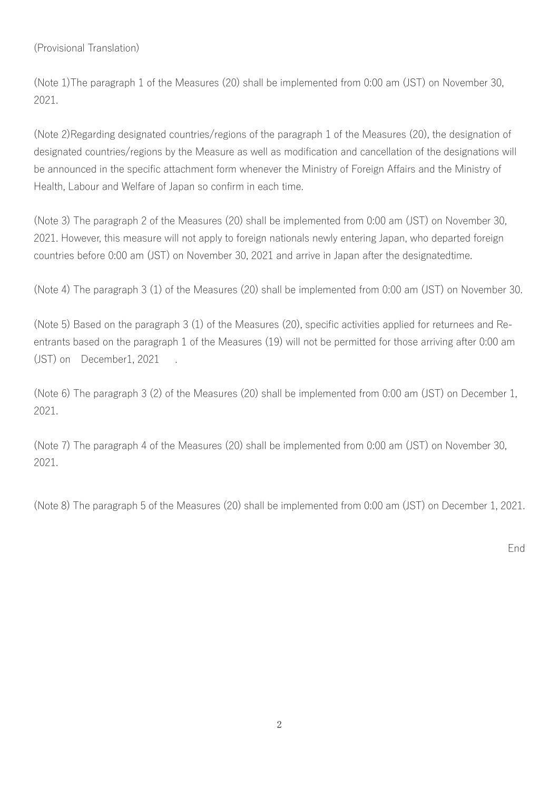(Provisional Translation)

(Note 1)The paragraph 1 of the Measures (20) shall be implemented from 0:00 am (JST) on November 30, 2021.

(Note 2)Regarding designated countries/regions of the paragraph 1 of the Measures (20), the designation of designated countries/regions by the Measure as well as modification and cancellation of the designations will be announced in the specific attachment form whenever the Ministry of Foreign Affairs and the Ministry of Health, Labour and Welfare of Japan so confirm in each time.

(Note 3) The paragraph 2 of the Measures (20) shall be implemented from 0:00 am (JST) on November 30, 2021. However, this measure will not apply to foreign nationals newly entering Japan, who departed foreign countries before 0:00 am (JST) on November 30, 2021 and arrive in Japan after the designatedtime.

(Note 4) The paragraph 3 (1) of the Measures (20) shall be implemented from 0:00 am (JST) on November 30.

(Note 5) Based on the paragraph 3 (1) of the Measures (20), specific activities applied for returnees and Reentrants based on the paragraph 1 of the Measures (19) will not be permitted for those arriving after 0:00 am (JST) on December1, 2021

(Note 6) The paragraph 3 (2) of the Measures (20) shall be implemented from 0:00 am (JST) on December 1, 2021.

(Note 7) The paragraph 4 of the Measures (20) shall be implemented from 0:00 am (JST) on November 30, 2021.

(Note 8) The paragraph 5 of the Measures (20) shall be implemented from 0:00 am (JST) on December 1, 2021.

End